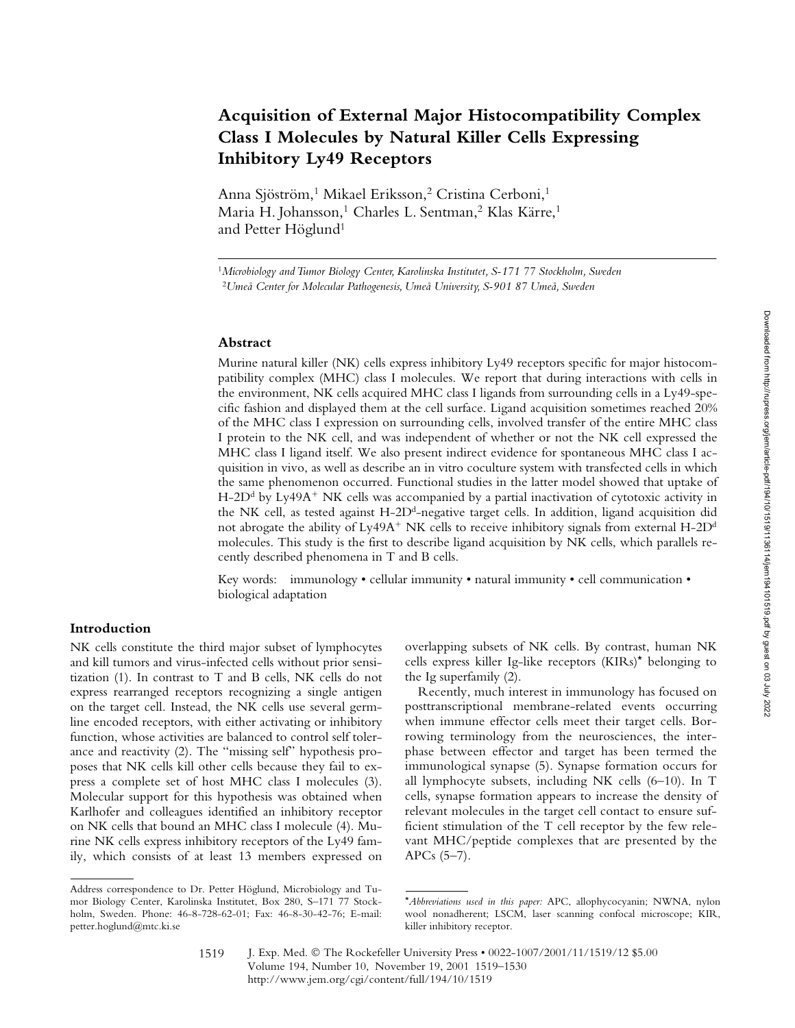# **Acquisition of External Major Histocompatibility Complex Class I Molecules by Natural Killer Cells Expressing Inhibitory Ly49 Receptors**

Anna Sjöström,<sup>1</sup> Mikael Eriksson,<sup>2</sup> Cristina Cerboni,<sup>1</sup> Maria H. Johansson,<sup>1</sup> Charles L. Sentman,<sup>2</sup> Klas Kärre,<sup>1</sup> and Petter Höglund<sup>1</sup>

<sup>1</sup>*Microbiology and Tumor Biology Center, Karolinska Institutet, S-171 77 Stockholm, Sweden* <sup>2</sup>*Umeå Center for Molecular Pathogenesis, Umeå University, S-901 87 Umeå, Sweden*

#### **Abstract**

Murine natural killer (NK) cells express inhibitory Ly49 receptors specific for major histocompatibility complex (MHC) class I molecules. We report that during interactions with cells in the environment, NK cells acquired MHC class I ligands from surrounding cells in a Ly49-specific fashion and displayed them at the cell surface. Ligand acquisition sometimes reached 20% of the MHC class I expression on surrounding cells, involved transfer of the entire MHC class I protein to the NK cell, and was independent of whether or not the NK cell expressed the MHC class I ligand itself. We also present indirect evidence for spontaneous MHC class I acquisition in vivo, as well as describe an in vitro coculture system with transfected cells in which the same phenomenon occurred. Functional studies in the latter model showed that uptake of H-2D<sup>d</sup> by Ly49A<sup>+</sup> NK cells was accompanied by a partial inactivation of cytotoxic activity in the NK cell, as tested against H-2Dd-negative target cells. In addition, ligand acquisition did not abrogate the ability of Ly49A $^+$  NK cells to receive inhibitory signals from external H-2D $^{\rm d}$ molecules. This study is the first to describe ligand acquisition by NK cells, which parallels recently described phenomena in T and B cells.

Key words: immunology • cellular immunity • natural immunity • cell communication • biological adaptation

# **Introduction**

NK cells constitute the third major subset of lymphocytes and kill tumors and virus-infected cells without prior sensitization (1). In contrast to T and B cells, NK cells do not express rearranged receptors recognizing a single antigen on the target cell. Instead, the NK cells use several germline encoded receptors, with either activating or inhibitory function, whose activities are balanced to control self tolerance and reactivity (2). The "missing self" hypothesis proposes that NK cells kill other cells because they fail to express a complete set of host MHC class I molecules (3). Molecular support for this hypothesis was obtained when Karlhofer and colleagues identified an inhibitory receptor on NK cells that bound an MHC class I molecule (4). Murine NK cells express inhibitory receptors of the Ly49 family, which consists of at least 13 members expressed on

overlapping subsets of NK cells. By contrast, human NK cells express killer Ig-like receptors (KIRs)\* belonging to the Ig superfamily (2).

Recently, much interest in immunology has focused on posttranscriptional membrane-related events occurring when immune effector cells meet their target cells. Borrowing terminology from the neurosciences, the interphase between effector and target has been termed the immunological synapse (5). Synapse formation occurs for all lymphocyte subsets, including NK cells (6–10). In T cells, synapse formation appears to increase the density of relevant molecules in the target cell contact to ensure sufficient stimulation of the T cell receptor by the few relevant MHC/peptide complexes that are presented by the APCs (5–7).

Address correspondence to Dr. Petter Höglund, Microbiology and Tumor Biology Center, Karolinska Institutet, Box 280, S–171 77 Stockholm, Sweden. Phone: 46-8-728-62-01; Fax: 46-8-30-42-76; E-mail: petter.hoglund@mtc.ki.se

<sup>\*</sup>*Abbreviations used in this paper:* APC, allophycocyanin; NWNA, nylon wool nonadherent; LSCM, laser scanning confocal microscope; KIR, killer inhibitory receptor.

J. Exp. Med. © The Rockefeller University Press • 0022-1007/2001/11/1519/12 \$5.00 Volume 194, Number 10, November 19, 2001 1519–1530 http://www.jem.org/cgi/content/full/194/10/1519 1519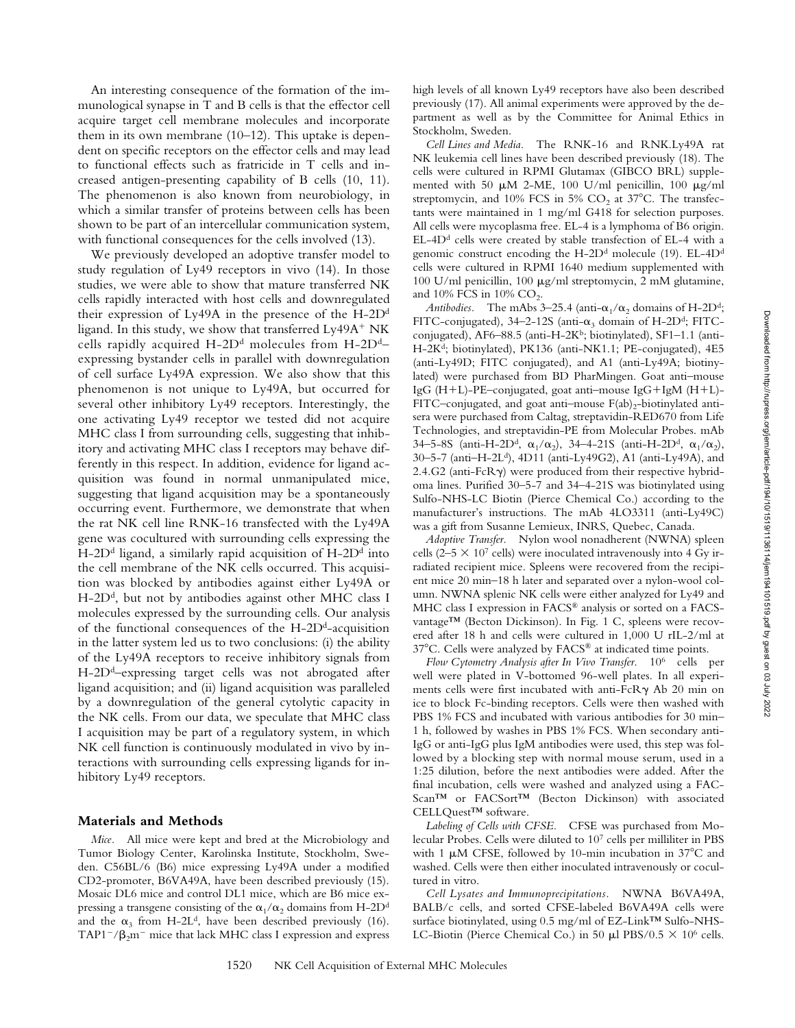An interesting consequence of the formation of the immunological synapse in T and B cells is that the effector cell acquire target cell membrane molecules and incorporate them in its own membrane (10–12). This uptake is dependent on specific receptors on the effector cells and may lead to functional effects such as fratricide in T cells and increased antigen-presenting capability of B cells (10, 11). The phenomenon is also known from neurobiology, in which a similar transfer of proteins between cells has been shown to be part of an intercellular communication system, with functional consequences for the cells involved  $(13)$ .

We previously developed an adoptive transfer model to study regulation of Ly49 receptors in vivo (14). In those studies, we were able to show that mature transferred NK cells rapidly interacted with host cells and downregulated their expression of Ly49A in the presence of the H-2Dd ligand. In this study, we show that transferred Ly49A<sup>+</sup> NK cells rapidly acquired  $H$ -2D<sup>d</sup> molecules from  $H$ -2D<sup>d</sup>expressing bystander cells in parallel with downregulation of cell surface Ly49A expression. We also show that this phenomenon is not unique to Ly49A, but occurred for several other inhibitory Ly49 receptors. Interestingly, the one activating Ly49 receptor we tested did not acquire MHC class I from surrounding cells, suggesting that inhibitory and activating MHC class I receptors may behave differently in this respect. In addition, evidence for ligand acquisition was found in normal unmanipulated mice, suggesting that ligand acquisition may be a spontaneously occurring event. Furthermore, we demonstrate that when the rat NK cell line RNK-16 transfected with the Ly49A gene was cocultured with surrounding cells expressing the  $H$ -2D<sup>d</sup> ligand, a similarly rapid acquisition of  $H$ -2D<sup>d</sup> into the cell membrane of the NK cells occurred. This acquisition was blocked by antibodies against either Ly49A or H-2D<sup>d</sup>, but not by antibodies against other MHC class I molecules expressed by the surrounding cells. Our analysis of the functional consequences of the H-2D<sup>d</sup>-acquisition in the latter system led us to two conclusions: (i) the ability of the Ly49A receptors to receive inhibitory signals from H-2D<sup>d</sup>–expressing target cells was not abrogated after ligand acquisition; and (ii) ligand acquisition was paralleled by a downregulation of the general cytolytic capacity in the NK cells. From our data, we speculate that MHC class I acquisition may be part of a regulatory system, in which NK cell function is continuously modulated in vivo by interactions with surrounding cells expressing ligands for inhibitory Ly49 receptors.

#### **Materials and Methods**

*Mice.* All mice were kept and bred at the Microbiology and Tumor Biology Center, Karolinska Institute, Stockholm, Sweden. C56BL/6 (B6) mice expressing Ly49A under a modified CD2-promoter, B6VA49A, have been described previously (15). Mosaic DL6 mice and control DL1 mice, which are B6 mice expressing a transgene consisting of the  $\alpha_1/\alpha_2$  domains from H-2D<sup>d</sup> and the  $\alpha_3$  from H-2L<sup>d</sup>, have been described previously (16). TAP1<sup>-</sup>/ $\beta_2$ m<sup>-</sup> mice that lack MHC class I expression and express high levels of all known Ly49 receptors have also been described previously (17). All animal experiments were approved by the department as well as by the Committee for Animal Ethics in Stockholm, Sweden.

*Cell Lines and Media.* The RNK-16 and RNK.Ly49A rat NK leukemia cell lines have been described previously (18). The cells were cultured in RPMI Glutamax (GIBCO BRL) supplemented with 50  $\mu$ M 2-ME, 100 U/ml penicillin, 100  $\mu$ g/ml streptomycin, and 10% FCS in 5%  $CO<sub>2</sub>$  at 37°C. The transfectants were maintained in 1 mg/ml G418 for selection purposes. All cells were mycoplasma free. EL-4 is a lymphoma of B6 origin.  $EL-4D<sup>d</sup>$  cells were created by stable transfection of EL-4 with a genomic construct encoding the H-2D<sup>d</sup> molecule (19). EL-4D<sup>d</sup> cells were cultured in RPMI 1640 medium supplemented with 100 U/ml penicillin, 100  $\mu$ g/ml streptomycin, 2 mM glutamine, and  $10\%$  FCS in  $10\%$  CO<sub>2</sub>.

*Antibodies.* The mAbs 3–25.4 (anti- $\alpha_1/\alpha_2$  domains of H-2D<sup>d</sup>; FITC-conjugated),  $34-2-12S$  (anti- $\alpha_3$  domain of H-2D<sup>d</sup>; FITCconjugated), AF6–88.5 (anti-H-2Kb; biotinylated), SF1–1.1 (anti-H-2Kd; biotinylated), PK136 (anti-NK1.1; PE-conjugated), 4E5 (anti-Ly49D; FITC conjugated), and A1 (anti-Ly49A; biotinylated) were purchased from BD PharMingen. Goat anti–mouse IgG (H-L)-PE–conjugated, goat anti–mouse IgG-IgM (H-L)- FITC–conjugated, and goat anti–mouse  $F(ab)_2$ -biotinylated antisera were purchased from Caltag, streptavidin-RED670 from Life Technologies, and streptavidin-PE from Molecular Probes. mAb 34–5–8S (anti-H–2D<sup>d</sup>,  $\alpha_1/\alpha_2$ ), 34–4–21S (anti-H–2D<sup>d</sup>,  $\alpha_1/\alpha_2$ ), 30–5-7 (anti–H-2Ld), 4D11 (anti-Ly49G2), A1 (anti-Ly49A), and 2.4.G2 (anti- $FcR\gamma$ ) were produced from their respective hybridoma lines. Purified 30–5-7 and 34–4-21S was biotinylated using Sulfo-NHS-LC Biotin (Pierce Chemical Co.) according to the manufacturer's instructions. The mAb 4LO3311 (anti-Ly49C) was a gift from Susanne Lemieux, INRS, Quebec, Canada.

*Adoptive Transfer.* Nylon wool nonadherent (NWNA) spleen cells (2–5  $\times$  10<sup>7</sup> cells) were inoculated intravenously into 4 Gy irradiated recipient mice. Spleens were recovered from the recipient mice 20 min–18 h later and separated over a nylon-wool column. NWNA splenic NK cells were either analyzed for Ly49 and MHC class I expression in FACS® analysis or sorted on a FACSvantage™ (Becton Dickinson). In Fig. 1 C, spleens were recovered after 18 h and cells were cultured in 1,000 U rIL-2/ml at 37°C. Cells were analyzed by FACS® at indicated time points.

*Flow Cytometry Analysis after In Vivo Transfer.* 106 cells per well were plated in V-bottomed 96-well plates. In all experiments cells were first incubated with anti-FcR $\gamma$  Ab 20 min on ice to block Fc-binding receptors. Cells were then washed with PBS 1% FCS and incubated with various antibodies for 30 min– 1 h, followed by washes in PBS 1% FCS. When secondary anti-IgG or anti-IgG plus IgM antibodies were used, this step was followed by a blocking step with normal mouse serum, used in a 1:25 dilution, before the next antibodies were added. After the final incubation, cells were washed and analyzed using a FAC-Scan™ or FACSort™ (Becton Dickinson) with associated CELLQuest™ software.

*Labeling of Cells with CFSE.* CFSE was purchased from Molecular Probes. Cells were diluted to 107 cells per milliliter in PBS with 1  $\mu$ M CFSE, followed by 10-min incubation in 37°C and washed. Cells were then either inoculated intravenously or cocultured in vitro.

*Cell Lysates and Immunoprecipitations.* NWNA B6VA49A, BALB/c cells, and sorted CFSE-labeled B6VA49A cells were surface biotinylated, using 0.5 mg/ml of EZ-Link™ Sulfo-NHS-LC-Biotin (Pierce Chemical Co.) in 50  $\mu$ l PBS/0.5  $\times$  10<sup>6</sup> cells.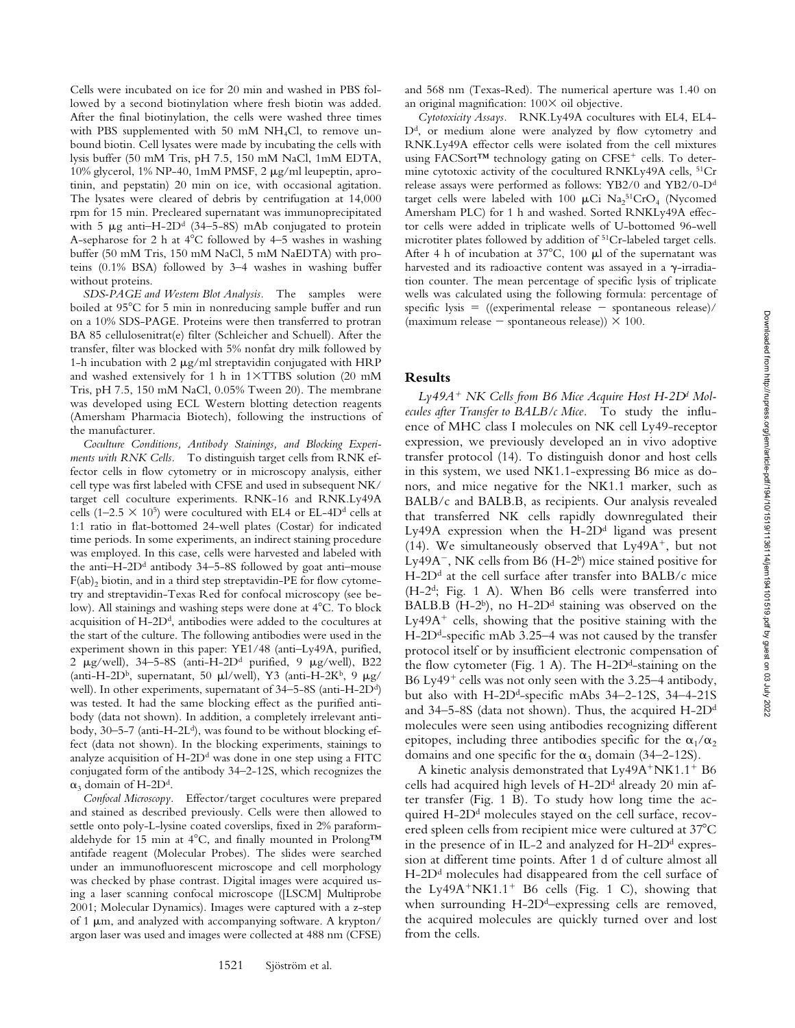Cells were incubated on ice for 20 min and washed in PBS followed by a second biotinylation where fresh biotin was added. After the final biotinylation, the cells were washed three times with PBS supplemented with 50 mM  $NH<sub>4</sub>Cl$ , to remove unbound biotin. Cell lysates were made by incubating the cells with lysis buffer (50 mM Tris, pH 7.5, 150 mM NaCl, 1mM EDTA, 10% glycerol, 1% NP-40, 1mM PMSF, 2  $\mu$ g/ml leupeptin, aprotinin, and pepstatin) 20 min on ice, with occasional agitation. The lysates were cleared of debris by centrifugation at 14,000 rpm for 15 min. Precleared supernatant was immunoprecipitated with 5  $\mu$ g anti–H-2D<sup>d</sup> (34–5–8S) mAb conjugated to protein A-sepharose for 2 h at  $4^{\circ}$ C followed by 4–5 washes in washing buffer (50 mM Tris, 150 mM NaCl, 5 mM NaEDTA) with proteins (0.1% BSA) followed by 3–4 washes in washing buffer without proteins.

*SDS-PAGE and Western Blot Analysis.* The samples were boiled at 95°C for 5 min in nonreducing sample buffer and run on a 10% SDS-PAGE. Proteins were then transferred to protran BA 85 cellulosenitrat(e) filter (Schleicher and Schuell). After the transfer, filter was blocked with 5% nonfat dry milk followed by 1-h incubation with 2  $\mu$ g/ml streptavidin conjugated with HRP and washed extensively for 1 h in  $1 \times TTBS$  solution (20 mM Tris, pH 7.5, 150 mM NaCl, 0.05% Tween 20). The membrane was developed using ECL Western blotting detection reagents (Amersham Pharmacia Biotech), following the instructions of the manufacturer.

*Coculture Conditions, Antibody Stainings, and Blocking Experiments with RNK Cells.* To distinguish target cells from RNK effector cells in flow cytometry or in microscopy analysis, either cell type was first labeled with CFSE and used in subsequent NK/ target cell coculture experiments. RNK-16 and RNK.Ly49A cells (1–2.5  $\times$  10<sup>5</sup>) were cocultured with EL4 or EL-4D<sup>d</sup> cells at 1:1 ratio in flat-bottomed 24-well plates (Costar) for indicated time periods. In some experiments, an indirect staining procedure was employed. In this case, cells were harvested and labeled with the anti-H-2D<sup>d</sup> antibody 34–5-8S followed by goat anti-mouse  $F(ab)_2$  biotin, and in a third step streptavidin-PE for flow cytometry and streptavidin-Texas Red for confocal microscopy (see below). All stainings and washing steps were done at 4°C. To block acquisition of H-2Dd, antibodies were added to the cocultures at the start of the culture. The following antibodies were used in the experiment shown in this paper: YE1/48 (anti–Ly49A, purified, 2  $\mu$ g/well), 34–5-8S (anti-H-2D<sup>d</sup> purified, 9  $\mu$ g/well), B22 (anti-H-2D<sup>b</sup>, supernatant, 50  $\mu$ l/well), Y3 (anti-H-2K<sup>b</sup>, 9  $\mu$ g/ well). In other experiments, supernatant of 34-5-8S (anti-H-2D<sup>d</sup>) was tested. It had the same blocking effect as the purified antibody (data not shown). In addition, a completely irrelevant antibody,  $30-5-7$  (anti-H-2L<sup>d</sup>), was found to be without blocking effect (data not shown). In the blocking experiments, stainings to analyze acquisition of  $H$ -2D<sup>d</sup> was done in one step using a FITC conjugated form of the antibody 34–2-12S, which recognizes the  $\alpha_3$  domain of H-2D<sup>d</sup>.

*Confocal Microscopy.* Effector/target cocultures were prepared and stained as described previously. Cells were then allowed to settle onto poly-L-lysine coated coverslips, fixed in 2% paraformaldehyde for 15 min at 4°C, and finally mounted in Prolong<sup>TM</sup> antifade reagent (Molecular Probes). The slides were searched under an immunofluorescent microscope and cell morphology was checked by phase contrast. Digital images were acquired using a laser scanning confocal microscope ([LSCM] Multiprobe 2001; Molecular Dynamics). Images were captured with a z-step of 1  $\mu$ m, and analyzed with accompanying software. A krypton/ argon laser was used and images were collected at 488 nm (CFSE)

1521 Sjöström et al.

and 568 nm (Texas-Red). The numerical aperture was 1.40 on an original magnification:  $100 \times$  oil objective.

*Cytotoxicity Assays.* RNK.Ly49A cocultures with EL4, EL4- D<sup>d</sup>, or medium alone were analyzed by flow cytometry and RNK.Ly49A effector cells were isolated from the cell mixtures using FACSort™ technology gating on CFSE<sup>+</sup> cells. To determine cytotoxic activity of the cocultured RNKLy49A cells, <sup>51</sup>Cr release assays were performed as follows: YB2/0 and YB2/0-Dd target cells were labeled with 100  $\mu$ Ci Na<sub>2</sub><sup>51</sup>CrO<sub>4</sub> (Nycomed Amersham PLC) for 1 h and washed. Sorted RNKLy49A effector cells were added in triplicate wells of U-bottomed 96-well microtiter plates followed by addition of 51Cr-labeled target cells. After 4 h of incubation at  $37^{\circ}$ C, 100 µl of the supernatant was harvested and its radioactive content was assayed in a  $\gamma$ -irradiation counter. The mean percentage of specific lysis of triplicate wells was calculated using the following formula: percentage of specific lysis  $=$  ((experimental release  $-$  spontaneous release)/ (maximum release  $-$  spontaneous release))  $\times$  100.

## **Results**

Ly49A<sup>+</sup> NK Cells from B6 Mice Acquire Host H-2D<sup>d</sup> Mol*ecules after Transfer to BALB/c Mice.* To study the influence of MHC class I molecules on NK cell Ly49-receptor expression, we previously developed an in vivo adoptive transfer protocol (14). To distinguish donor and host cells in this system, we used NK1.1-expressing B6 mice as donors, and mice negative for the NK1.1 marker, such as BALB/c and BALB.B, as recipients. Our analysis revealed that transferred NK cells rapidly downregulated their Ly49A expression when the  $H$ -2D<sup>d</sup> ligand was present (14). We simultaneously observed that  $Ly49A^{+}$ , but not Ly49A<sup>-</sup>, NK cells from B6 (H-2<sup>b</sup>) mice stained positive for  $H$ -2D<sup>d</sup> at the cell surface after transfer into BALB/c mice (H-2d; Fig. 1 A). When B6 cells were transferred into BALB.B (H-2 $^{\text{b}}$ ), no H-2 $^{\text{d}}$  staining was observed on the  $Ly<sub>49A</sub>$ <sup>+</sup> cells, showing that the positive staining with the H-2D<sup>d</sup>-specific mAb 3.25–4 was not caused by the transfer protocol itself or by insufficient electronic compensation of the flow cytometer (Fig. 1 A). The  $H$ -2D<sup>d</sup>-staining on the B6 Ly49<sup>+</sup> cells was not only seen with the 3.25–4 antibody, but also with  $H$ -2D<sup>d</sup>-specific mAbs  $34-2-12S$ ,  $34-4-21S$ and 34–5-8S (data not shown). Thus, the acquired  $H$ -2D<sup>d</sup> molecules were seen using antibodies recognizing different epitopes, including three antibodies specific for the  $\alpha_1/\alpha_2$ domains and one specific for the  $\alpha_3$  domain (34–2-12S).

A kinetic analysis demonstrated that Ly49A+NK1.1+ B6 cells had acquired high levels of H-2D<sup>d</sup> already 20 min after transfer (Fig. 1 B). To study how long time the acquired  $H$ -2D<sup>d</sup> molecules stayed on the cell surface, recovered spleen cells from recipient mice were cultured at 37°C in the presence of in IL-2 and analyzed for  $H$ -2D<sup>d</sup> expression at different time points. After 1 d of culture almost all H-2D<sup>d</sup> molecules had disappeared from the cell surface of the Ly49A<sup>+</sup>NK1.1<sup>+</sup> B6 cells (Fig. 1 C), showing that when surrounding  $H$ -2D<sup>d</sup>–expressing cells are removed, the acquired molecules are quickly turned over and lost from the cells.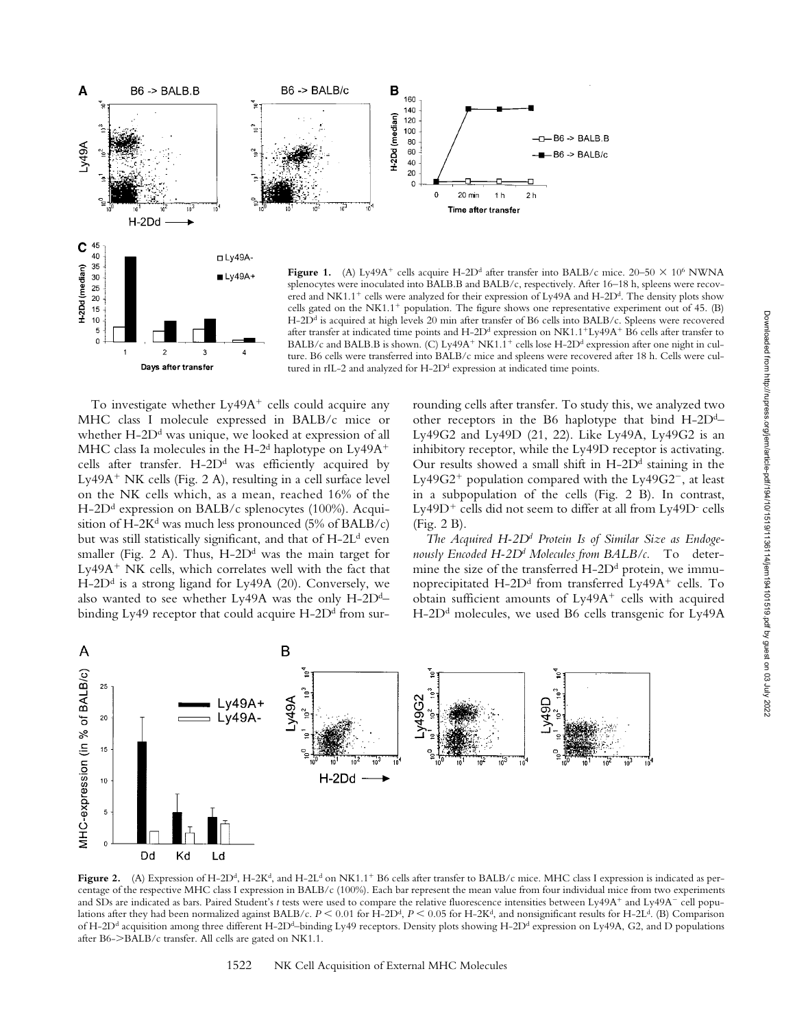

To investigate whether Ly49A<sup>+</sup> cells could acquire any MHC class I molecule expressed in BALB/c mice or whether  $H$ -2D<sup>d</sup> was unique, we looked at expression of all MHC class Ia molecules in the H-2<sup>d</sup> haplotype on  $Ly49A<sup>+</sup>$ cells after transfer.  $H$ -2 $D<sup>d</sup>$  was efficiently acquired by Ly49A<sup>+</sup> NK cells (Fig. 2 A), resulting in a cell surface level on the NK cells which, as a mean, reached 16% of the  $H$ -2D<sup>d</sup> expression on BALB/c splenocytes (100%). Acquisition of H-2K<sup>d</sup> was much less pronounced (5% of BALB/c) but was still statistically significant, and that of H-2L<sup>d</sup> even smaller (Fig. 2 A). Thus,  $H$ -2 $D<sup>d</sup>$  was the main target for Ly49A<sup>+</sup> NK cells, which correlates well with the fact that  $H$ -2D<sup>d</sup> is a strong ligand for Ly49A (20). Conversely, we also wanted to see whether Ly49A was the only  $H$ -2D<sup>d</sup>– binding Ly49 receptor that could acquire  $H$ -2D<sup>d</sup> from surrounding cells after transfer. To study this, we analyzed two other receptors in the B6 haplotype that bind  $H$ -2D<sup>d</sup>– Ly49G2 and Ly49D (21, 22). Like Ly49A, Ly49G2 is an inhibitory receptor, while the Ly49D receptor is activating. Our results showed a small shift in  $H$ -2 $D<sup>d</sup>$  staining in the Ly49G2<sup>+</sup> population compared with the Ly49G2<sup>-</sup>, at least in a subpopulation of the cells (Fig. 2 B). In contrast,  $Ly49D<sup>+</sup>$  cells did not seem to differ at all from  $Ly49D<sup>-</sup>$  cells (Fig. 2 B).

*The Acquired H-2Dd Protein Is of Similar Size as Endogenously Encoded H-2Dd Molecules from BALB/c.* To determine the size of the transferred  $H$ -2D<sup>d</sup> protein, we immunoprecipitated  $H$ -2 $D<sup>d</sup>$  from transferred Ly49A<sup>+</sup> cells. To obtain sufficient amounts of  $Ly<sub>49A</sub>$  cells with acquired H-2D<sup>d</sup> molecules, we used B6 cells transgenic for Ly49A



Figure 2. (A) Expression of H-2D<sup>d</sup>, H-2K<sup>d</sup>, and H-2L<sup>d</sup> on NK1.1<sup>+</sup> B6 cells after transfer to BALB/c mice. MHC class I expression is indicated as percentage of the respective MHC class I expression in BALB/c (100%). Each bar represent the mean value from four individual mice from two experiments and SDs are indicated as bars. Paired Student's t tests were used to compare the relative fluorescence intensities between Ly49A<sup>+</sup> and Ly49A<sup>-</sup> cell populations after they had been normalized against BALB/c.  $P \le 0.01$  for H-2D<sup>d</sup>,  $P \le 0.05$  for H-2K<sup>d</sup>, and nonsignificant results for H-2L<sup>d</sup>. (B) Comparison of H-2D<sup>d</sup> acquisition among three different H-2D<sup>d</sup>–binding Ly49 receptors. Density plots showing H-2D<sup>d</sup> expression on Ly49A, G2, and D populations after B6-BALB/c transfer. All cells are gated on NK1.1.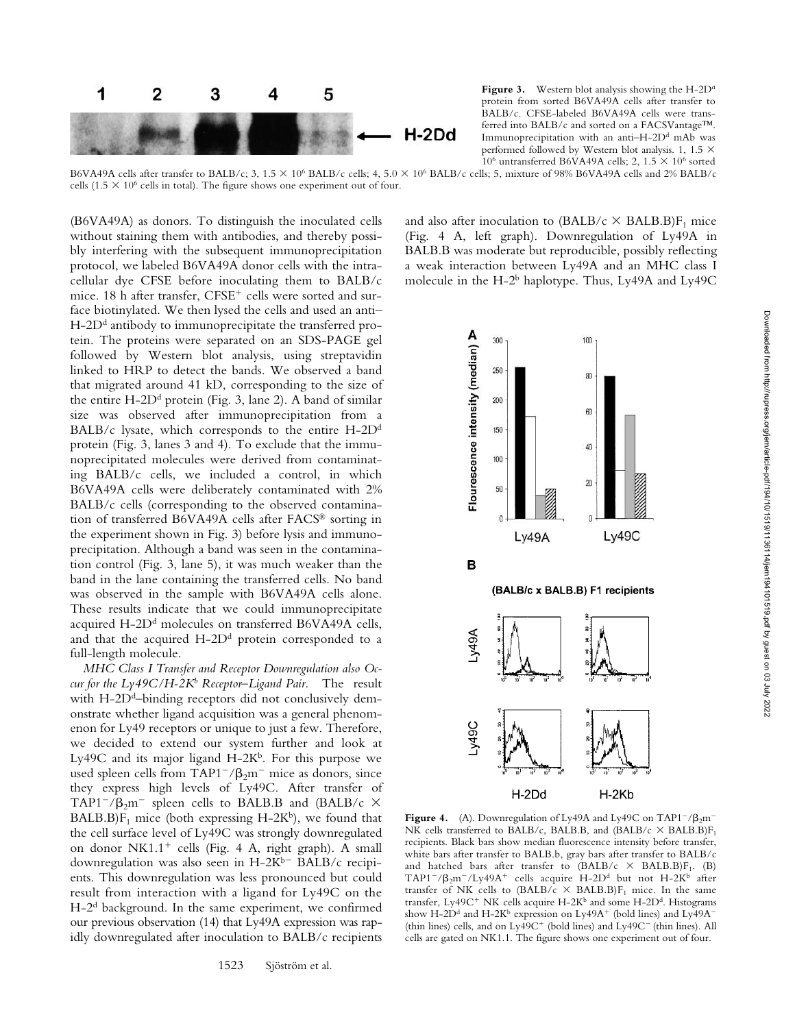

**Figure 3.** Western blot analysis showing the H-2D<sup>d</sup> protein from sorted B6VA49A cells after transfer to BALB/c. CFSE-labeled B6VA49A cells were transferred into BALB/c and sorted on a FACSVantage™. Immunoprecipitation with an anti-H-2D<sup>d</sup> mAb was performed followed by Western blot analysis. 1, 1.5  $\times$ 10<sup>6</sup> untransferred B6VA49A cells; 2, 1.5  $\times$  10<sup>6</sup> sorted

B6VA49A cells after transfer to BALB/c; 3, 1.5  $\times$  10<sup>6</sup> BALB/c cells; 4, 5.0  $\times$  10<sup>6</sup> BALB/c cells; 5, mixture of 98% B6VA49A cells and 2% BALB/c cells (1.5  $\times$  10<sup>6</sup> cells in total). The figure shows one experiment out of four.

(B6VA49A) as donors. To distinguish the inoculated cells without staining them with antibodies, and thereby possibly interfering with the subsequent immunoprecipitation protocol, we labeled B6VA49A donor cells with the intracellular dye CFSE before inoculating them to BALB/c mice. 18 h after transfer, CFSE<sup>+</sup> cells were sorted and surface biotinylated. We then lysed the cells and used an anti–  $H$ -2D<sup>d</sup> antibody to immunoprecipitate the transferred protein. The proteins were separated on an SDS-PAGE gel followed by Western blot analysis, using streptavidin linked to HRP to detect the bands. We observed a band that migrated around 41 kD, corresponding to the size of the entire  $H$ -2D<sup>d</sup> protein (Fig. 3, lane 2). A band of similar size was observed after immunoprecipitation from a BALB/c lysate, which corresponds to the entire  $H$ -2D<sup>d</sup> protein (Fig. 3, lanes 3 and 4). To exclude that the immunoprecipitated molecules were derived from contaminating BALB/c cells, we included a control, in which B6VA49A cells were deliberately contaminated with 2% BALB/c cells (corresponding to the observed contamination of transferred B6VA49A cells after FACS® sorting in the experiment shown in Fig. 3) before lysis and immunoprecipitation. Although a band was seen in the contamination control (Fig. 3, lane 5), it was much weaker than the band in the lane containing the transferred cells. No band was observed in the sample with B6VA49A cells alone. These results indicate that we could immunoprecipitate acquired H-2D<sup>d</sup> molecules on transferred B6VA49A cells, and that the acquired  $H$ -2D<sup>d</sup> protein corresponded to a full-length molecule.

*MHC Class I Transfer and Receptor Downregulation also Occur for the Ly49C/H-2Kb Receptor–Ligand Pair.* The result with  $H$ -2D<sup>d</sup>–binding receptors did not conclusively demonstrate whether ligand acquisition was a general phenomenon for Ly49 receptors or unique to just a few. Therefore, we decided to extend our system further and look at Ly49C and its major ligand  $H-2K<sup>b</sup>$ . For this purpose we used spleen cells from TAP1<sup>-</sup>/ $\beta_2$ m<sup>-</sup> mice as donors, since they express high levels of Ly49C. After transfer of TAP1<sup>-</sup>/ $\beta_2$ m<sup>-</sup> spleen cells to BALB.B and (BALB/c  $\times$  $BALB.B)F<sub>1</sub> mice (both expressing H-2K<sup>b</sup>), we found that$ the cell surface level of Ly49C was strongly downregulated on donor NK1.1<sup>+</sup> cells (Fig. 4 A, right graph). A small downregulation was also seen in  $H-2K^{b-}$  BALB/c recipients. This downregulation was less pronounced but could result from interaction with a ligand for Ly49C on the H-2d background. In the same experiment, we confirmed our previous observation (14) that Ly49A expression was rapidly downregulated after inoculation to BALB/c recipients

and also after inoculation to (BALB/c  $\times$  BALB.B)F<sub>1</sub> mice (Fig. 4 A, left graph). Downregulation of Ly49A in BALB.B was moderate but reproducible, possibly reflecting a weak interaction between Ly49A and an MHC class I molecule in the H- $2^b$  haplotype. Thus, Ly49A and Ly49C



**Figure 4.** (A). Downregulation of Ly49A and Ly49C on TAP1<sup>-</sup>/ $\beta_2$ m<sup>-</sup> NK cells transferred to BALB/c, BALB.B, and (BALB/c  $\times$  BALB.B)F<sub>1</sub> recipients. Black bars show median fluorescence intensity before transfer, white bars after transfer to BALB.b, gray bars after transfer to BALB/c and hatched bars after transfer to  $(BALB/c \times BALB)F_1$ . (B)  $TAP1^-/\beta_2$ m $^-/Ly49A^+$  cells acquire H-2D<sup>d</sup> but not H-2K<sup>b</sup> after transfer of NK cells to (BALB/c  $\times$  BALB.B)F<sub>1</sub> mice. In the same transfer, Ly49C<sup>+</sup> NK cells acquire H-2K<sup>b</sup> and some H-2D<sup>d</sup>. Histograms show H-2D<sup>d</sup> and H-2K<sup>b</sup> expression on Ly49A<sup>+</sup> (bold lines) and Ly49A<sup>-</sup> (thin lines) cells, and on  $Ly49C<sup>+</sup>$  (bold lines) and  $Ly49C<sup>-</sup>$  (thin lines). All cells are gated on NK1.1. The figure shows one experiment out of four.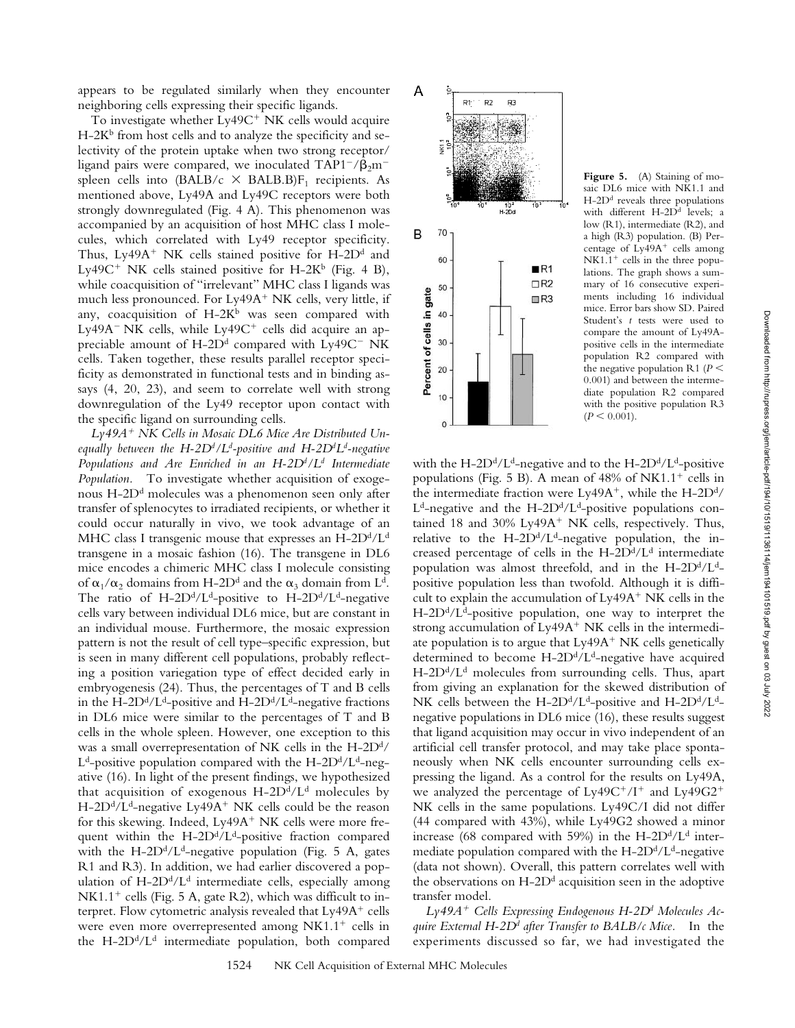appears to be regulated similarly when they encounter neighboring cells expressing their specific ligands.

To investigate whether Ly49C<sup>+</sup> NK cells would acquire  $H-2K<sup>b</sup>$  from host cells and to analyze the specificity and selectivity of the protein uptake when two strong receptor/ ligand pairs were compared, we inoculated  $TAP1^{-}/\beta_{2}m^{-}$ spleen cells into  $(BALB/c \times BALB)F_1$  recipients. As mentioned above, Ly49A and Ly49C receptors were both strongly downregulated (Fig. 4 A). This phenomenon was accompanied by an acquisition of host MHC class I molecules, which correlated with Ly49 receptor specificity. Thus, Ly49A<sup>+</sup> NK cells stained positive for H-2D<sup>d</sup> and Ly49C<sup>+</sup> NK cells stained positive for H-2K<sup>b</sup> (Fig. 4 B), while coacquisition of "irrelevant" MHC class I ligands was much less pronounced. For Ly49A<sup>+</sup> NK cells, very little, if any, coacquisition of  $H-2K^b$  was seen compared with Ly49A<sup>-</sup> NK cells, while Ly49C<sup>+</sup> cells did acquire an appreciable amount of  $H$ -2D<sup>d</sup> compared with Ly49C<sup>-</sup> NK cells. Taken together, these results parallel receptor specificity as demonstrated in functional tests and in binding assays (4, 20, 23), and seem to correlate well with strong downregulation of the Ly49 receptor upon contact with the specific ligand on surrounding cells.

*Ly49A*- *NK Cells in Mosaic DL6 Mice Are Distributed Unequally between the H-2Dd /Ld -positive and H-2Dd Ld -negative Populations and Are Enriched in an H-2Dd /Ld Intermediate Population.* To investigate whether acquisition of exogenous H-2Dd molecules was a phenomenon seen only after transfer of splenocytes to irradiated recipients, or whether it could occur naturally in vivo, we took advantage of an MHC class I transgenic mouse that expresses an  $H$ -2D<sup>d</sup>/L<sup>d</sup> transgene in a mosaic fashion (16). The transgene in DL6 mice encodes a chimeric MHC class I molecule consisting of  $\alpha_1/\alpha_2$  domains from H-2D<sup>d</sup> and the  $\alpha_3$  domain from L<sup>d</sup>. The ratio of H-2D<sup>d</sup>/L<sup>d</sup>-positive to H-2D<sup>d</sup>/L<sup>d</sup>-negative cells vary between individual DL6 mice, but are constant in an individual mouse. Furthermore, the mosaic expression pattern is not the result of cell type–specific expression, but is seen in many different cell populations, probably reflecting a position variegation type of effect decided early in embryogenesis (24). Thus, the percentages of T and B cells in the H-2D<sup>d</sup>/L<sup>d</sup>-positive and H-2D<sup>d</sup>/L<sup>d</sup>-negative fractions in DL6 mice were similar to the percentages of T and B cells in the whole spleen. However, one exception to this was a small overrepresentation of NK cells in the H-2D<sup>d</sup>/  $L<sup>d</sup>$ -positive population compared with the H-2D<sup>d</sup>/L<sup>d</sup>-negative (16). In light of the present findings, we hypothesized that acquisition of exogenous  $H$ -2D<sup>d</sup>/L<sup>d</sup> molecules by H-2D<sup>d</sup>/L<sup>d</sup>-negative Ly49A<sup>+</sup> NK cells could be the reason for this skewing. Indeed, Ly49A<sup>+</sup> NK cells were more frequent within the  $H$ -2D<sup>d</sup>/L<sup>d</sup>-positive fraction compared with the H-2D<sup>d</sup>/L<sup>d</sup>-negative population (Fig. 5 A, gates R1 and R3). In addition, we had earlier discovered a population of  $H$ -2D<sup>d</sup>/L<sup>d</sup> intermediate cells, especially among NK1.1<sup>+</sup> cells (Fig. 5 A, gate R2), which was difficult to interpret. Flow cytometric analysis revealed that Ly49A<sup>+</sup> cells were even more overrepresented among NK1.1<sup>+</sup> cells in the H-2D $d/Ld$  intermediate population, both compared



**Figure 5.** (A) Staining of mosaic DL6 mice with NK1.1 and H-2Dd reveals three populations with different H-2D<sup>d</sup> levels; a low (R1), intermediate (R2), and a high (R3) population. (B) Percentage of Ly49A<sup>+</sup> cells among  $NK1.1<sup>+</sup>$  cells in the three populations. The graph shows a summary of 16 consecutive experiments including 16 individual mice. Error bars show SD. Paired Student's *t* tests were used to compare the amount of Ly49Apositive cells in the intermediate population R2 compared with the negative population R1 ( $P$  < 0.001) and between the intermediate population R2 compared with the positive population R3  $(P \leq 0.001)$ .

with the H-2D<sup>d</sup>/L<sup>d</sup>-negative and to the H-2D<sup>d</sup>/L<sup>d</sup>-positive populations (Fig. 5 B). A mean of 48% of NK1.1<sup>+</sup> cells in the intermediate fraction were  $Ly49A^{+}$ , while the H-2D<sup>d</sup>/  $L^d$ -negative and the H-2D<sup>d</sup>/L<sup>d</sup>-positive populations contained 18 and 30% Ly49A<sup>+</sup> NK cells, respectively. Thus, relative to the  $H$ -2D<sup>d</sup>/L<sup>d</sup>-negative population, the increased percentage of cells in the  $H$ -2D<sup>d</sup>/L<sup>d</sup> intermediate population was almost threefold, and in the  $H\text{-}2D<sup>d</sup>/L<sup>d</sup>$ positive population less than twofold. Although it is difficult to explain the accumulation of  $Ly<sub>49A</sub>$ <sup>+</sup> NK cells in the  $H$ -2D<sup>d</sup>/L<sup>d</sup>-positive population, one way to interpret the strong accumulation of Ly49A<sup>+</sup> NK cells in the intermediate population is to argue that  $Ly49A^+$  NK cells genetically determined to become  $H$ -2D<sup>d</sup>/L<sup>d</sup>-negative have acquired  $H$ -2D<sup>d</sup>/L<sup>d</sup> molecules from surrounding cells. Thus, apart from giving an explanation for the skewed distribution of NK cells between the H-2D<sup>d</sup>/L<sup>d</sup>-positive and H-2D<sup>d</sup>/L<sup>d</sup>negative populations in DL6 mice (16), these results suggest that ligand acquisition may occur in vivo independent of an artificial cell transfer protocol, and may take place spontaneously when NK cells encounter surrounding cells expressing the ligand. As a control for the results on Ly49A, we analyzed the percentage of  $Ly49C^+/I^+$  and  $Ly49G2^+$ NK cells in the same populations. Ly49C/I did not differ (44 compared with 43%), while Ly49G2 showed a minor increase (68 compared with 59%) in the H-2D $\rm d/L^d$  intermediate population compared with the  $H$ -2D<sup>d</sup>/L<sup>d</sup>-negative (data not shown). Overall, this pattern correlates well with the observations on  $H$ -2D<sup>d</sup> acquisition seen in the adoptive transfer model.

*Ly49A*- *Cells Expressing Endogenous H-2Dd Molecules Acquire External H-2Dd after Transfer to BALB/c Mice.* In the experiments discussed so far, we had investigated the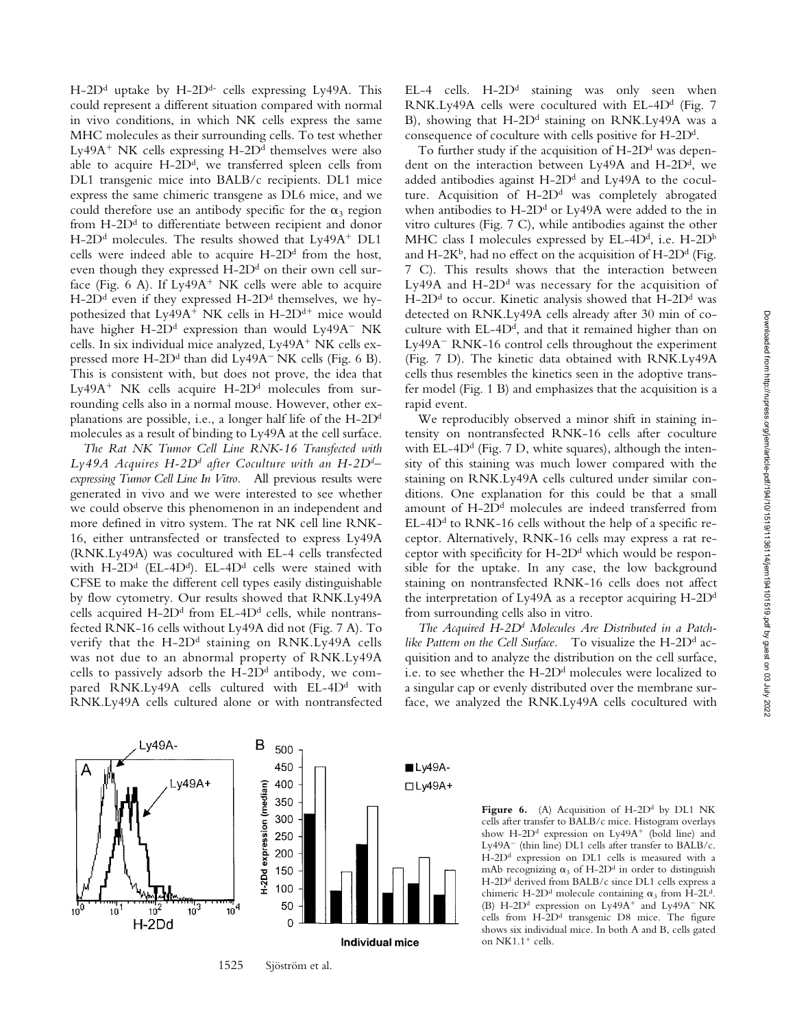H-2D<sup>d</sup> uptake by H-2D<sup>d-</sup> cells expressing Ly49A. This could represent a different situation compared with normal in vivo conditions, in which NK cells express the same MHC molecules as their surrounding cells. To test whether Ly49A<sup>+</sup> NK cells expressing H-2D<sup>d</sup> themselves were also able to acquire  $H$ -2 $D<sup>d</sup>$ , we transferred spleen cells from DL1 transgenic mice into BALB/c recipients. DL1 mice express the same chimeric transgene as DL6 mice, and we could therefore use an antibody specific for the  $\alpha_3$  region from  $H$ -2 $D<sup>d</sup>$  to differentiate between recipient and donor H-2D<sup>d</sup> molecules. The results showed that Ly49A<sup>+</sup> DL1 cells were indeed able to acquire  $H$ -2D<sup>d</sup> from the host, even though they expressed  $H$ -2D<sup>d</sup> on their own cell surface (Fig.  $6$  A). If Ly49A<sup>+</sup> NK cells were able to acquire H-2D<sup>d</sup> even if they expressed H-2D<sup>d</sup> themselves, we hypothesized that Ly49A<sup>+</sup> NK cells in H-2D<sup>d+</sup> mice would have higher H-2D<sup>d</sup> expression than would Ly49A<sup>-</sup> NK cells. In six individual mice analyzed, Ly49A<sup>+</sup> NK cells expressed more  $H$ -2D<sup>d</sup> than did Ly49A<sup>-</sup> NK cells (Fig. 6 B). This is consistent with, but does not prove, the idea that Ly49A<sup>+</sup> NK cells acquire H-2D<sup>d</sup> molecules from surrounding cells also in a normal mouse. However, other explanations are possible, i.e., a longer half life of the H-2Dd molecules as a result of binding to Ly49A at the cell surface.

*The Rat NK Tumor Cell Line RNK-16 Transfected with Ly49A Acquires H-2Dd after Coculture with an H-2Dd– expressing Tumor Cell Line In Vitro.* All previous results were generated in vivo and we were interested to see whether we could observe this phenomenon in an independent and more defined in vitro system. The rat NK cell line RNK-16, either untransfected or transfected to express Ly49A (RNK.Ly49A) was cocultured with EL-4 cells transfected with H-2D<sup>d</sup> (EL-4D<sup>d</sup>). EL-4D<sup>d</sup> cells were stained with CFSE to make the different cell types easily distinguishable by flow cytometry. Our results showed that RNK.Ly49A cells acquired H-2D<sup>d</sup> from EL-4D<sup>d</sup> cells, while nontransfected RNK-16 cells without Ly49A did not (Fig. 7 A). To verify that the H-2D<sup>d</sup> staining on RNK.Ly49A cells was not due to an abnormal property of RNK.Ly49A cells to passively adsorb the  $H$ -2D<sup>d</sup> antibody, we compared RNK.Ly49A cells cultured with EL-4D<sup>d</sup> with RNK.Ly49A cells cultured alone or with nontransfected  $EL-4$  cells.  $H-2D<sup>d</sup>$  staining was only seen when RNK.Ly49A cells were cocultured with EL-4D<sup>d</sup> (Fig. 7 B), showing that H-2D<sup>d</sup> staining on RNK.Ly49A was a consequence of coculture with cells positive for H-2Dd.

To further study if the acquisition of  $H$ -2D<sup>d</sup> was dependent on the interaction between Ly49A and H-2D<sup>d</sup>, we added antibodies against  $H$ -2D<sup>d</sup> and Ly49A to the coculture. Acquisition of  $H$ -2D<sup>d</sup> was completely abrogated when antibodies to  $H$ -2D<sup>d</sup> or Ly49A were added to the in vitro cultures (Fig. 7 C), while antibodies against the other MHC class I molecules expressed by EL-4D<sup>d</sup>, i.e. H-2D<sup>b</sup> and H-2K<sup>b</sup>, had no effect on the acquisition of H-2D<sup>d</sup> (Fig. 7 C). This results shows that the interaction between Ly49A and  $H$ -2D<sup>d</sup> was necessary for the acquisition of  $H$ -2D<sup>d</sup> to occur. Kinetic analysis showed that  $H$ -2D<sup>d</sup> was detected on RNK.Ly49A cells already after 30 min of coculture with  $EL-4D<sup>d</sup>$ , and that it remained higher than on  $Ly<sub>49A</sub>$  RNK-16 control cells throughout the experiment (Fig. 7 D). The kinetic data obtained with RNK.Ly49A cells thus resembles the kinetics seen in the adoptive transfer model (Fig. 1 B) and emphasizes that the acquisition is a rapid event.

We reproducibly observed a minor shift in staining intensity on nontransfected RNK-16 cells after coculture with EL-4D<sup>d</sup> (Fig. 7 D, white squares), although the intensity of this staining was much lower compared with the staining on RNK.Ly49A cells cultured under similar conditions. One explanation for this could be that a small amount of H-2D<sup>d</sup> molecules are indeed transferred from  $EL-4D<sup>d</sup>$  to RNK-16 cells without the help of a specific receptor. Alternatively, RNK-16 cells may express a rat receptor with specificity for  $H$ -2D<sup>d</sup> which would be responsible for the uptake. In any case, the low background staining on nontransfected RNK-16 cells does not affect the interpretation of Ly49A as a receptor acquiring  $H$ -2D<sup>d</sup> from surrounding cells also in vitro.

*The Acquired H-2Dd Molecules Are Distributed in a Patch*like Pattern on the Cell Surface. To visualize the H-2D<sup>d</sup> acquisition and to analyze the distribution on the cell surface, i.e. to see whether the H-2D<sup>d</sup> molecules were localized to a singular cap or evenly distributed over the membrane surface, we analyzed the RNK.Ly49A cells cocultured with



1525 Sjöström et al.

Figure 6. (A) Acquisition of H-2D<sup>d</sup> by DL1 NK cells after transfer to BALB/c mice. Histogram overlays show H-2D<sup>d</sup> expression on Ly49A<sup>+</sup> (bold line) and Ly49A $^-$  (thin line) DL1 cells after transfer to BALB/c. H-2Dd expression on DL1 cells is measured with a mAb recognizing  $\alpha_3$  of H-2D<sup>d</sup> in order to distinguish H-2D<sup>d</sup> derived from BALB/c since DL1 cells express a chimeric H-2D<sup>d</sup> molecule containing  $\alpha_3$  from H-2L<sup>d</sup>. (B) H-2D<sup>d</sup> expression on Ly49A<sup>+</sup> and Ly49A<sup>-</sup> NK cells from H-2Dd transgenic D8 mice. The figure shows six individual mice. In both A and B, cells gated on NK1.1<sup>+</sup> cells.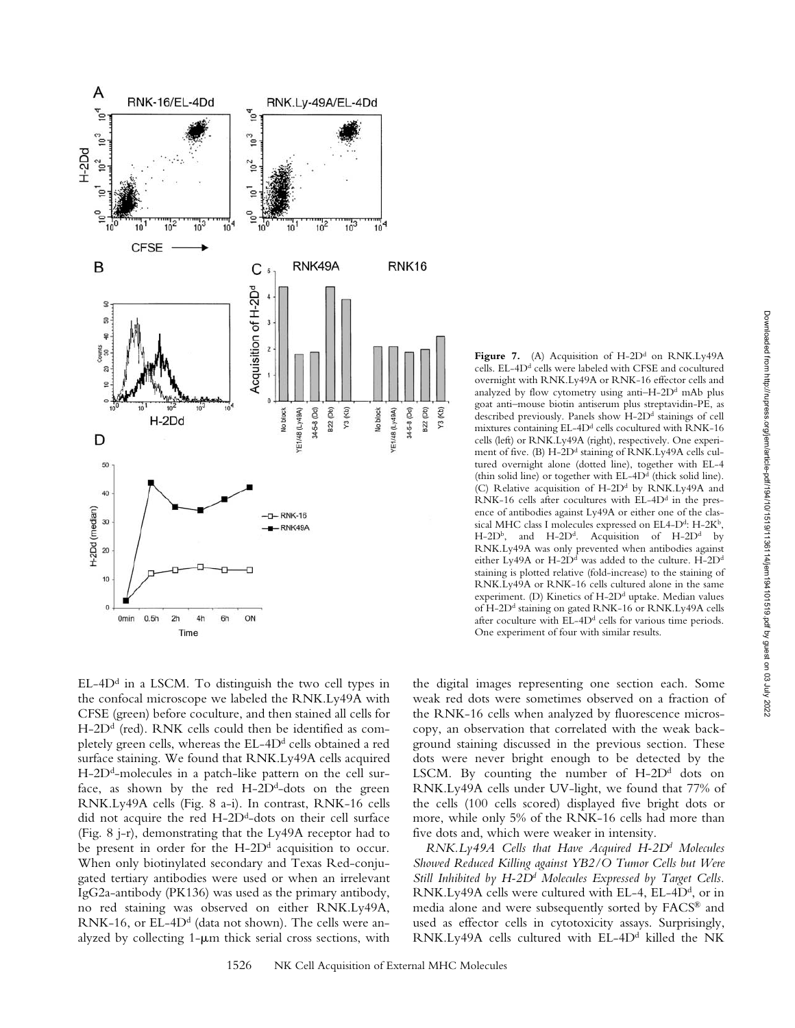

 $EL-4D<sup>d</sup>$  in a LSCM. To distinguish the two cell types in the confocal microscope we labeled the RNK.Ly49A with CFSE (green) before coculture, and then stained all cells for  $H$ -2D<sup>d</sup> (red). RNK cells could then be identified as completely green cells, whereas the EL-4D<sup>d</sup> cells obtained a red surface staining. We found that RNK.Ly49A cells acquired  $H$ -2D<sup>d</sup>-molecules in a patch-like pattern on the cell surface, as shown by the red  $H$ -2D<sup>d</sup>-dots on the green RNK.Ly49A cells (Fig. 8 a-i). In contrast, RNK-16 cells did not acquire the red  $H$ -2D<sup>d</sup>-dots on their cell surface (Fig. 8 j-r), demonstrating that the Ly49A receptor had to be present in order for the  $H$ -2D<sup>d</sup> acquisition to occur. When only biotinylated secondary and Texas Red-conjugated tertiary antibodies were used or when an irrelevant IgG2a-antibody (PK136) was used as the primary antibody, no red staining was observed on either RNK.Ly49A, RNK-16, or EL-4D<sup>d</sup> (data not shown). The cells were analyzed by collecting  $1-\mu m$  thick serial cross sections, with

the digital images representing one section each. Some weak red dots were sometimes observed on a fraction of the RNK-16 cells when analyzed by fluorescence microscopy, an observation that correlated with the weak background staining discussed in the previous section. These dots were never bright enough to be detected by the LSCM. By counting the number of  $H$ -2D<sup>d</sup> dots on RNK.Ly49A cells under UV-light, we found that 77% of the cells (100 cells scored) displayed five bright dots or more, while only 5% of the RNK-16 cells had more than five dots and, which were weaker in intensity.

One experiment of four with similar results.

Figure 7. (A) Acquisition of  $H$ -2D<sup>d</sup> on RNK.Ly49A cells. EL-4D<sup>d</sup> cells were labeled with CFSE and cocultured overnight with RNK.Ly49A or RNK-16 effector cells and analyzed by flow cytometry using anti-H-2D<sup>d</sup> mAb plus goat anti–mouse biotin antiserum plus streptavidin-PE, as described previously. Panels show H-2Dd stainings of cell mixtures containing EL-4D<sup>d</sup> cells cocultured with RNK-16 cells (left) or RNK.Ly49A (right), respectively. One experiment of five. (B) H-2D<sup>d</sup> staining of RNK.Ly49A cells cultured overnight alone (dotted line), together with EL-4 (thin solid line) or together with  $EL-4D<sup>d</sup>$  (thick solid line). (C) Relative acquisition of H-2D<sup>d</sup> by RNK.Ly49A and RNK-16 cells after cocultures with EL-4D<sup>d</sup> in the presence of antibodies against Ly49A or either one of the classical MHC class I molecules expressed on EL4-D<sup>d</sup>: H-2K<sup>b</sup>, H-2D<sup>b</sup>, and H-2D<sup>d</sup>. Acquisition of H-2D<sup>d</sup> by RNK.Ly49A was only prevented when antibodies against either Ly49A or H-2D<sup>d</sup> was added to the culture. H-2D<sup>d</sup> staining is plotted relative (fold-increase) to the staining of RNK.Ly49A or RNK-16 cells cultured alone in the same experiment. (D) Kinetics of H-2D<sup>d</sup> uptake. Median values of H-2D<sup>d</sup> staining on gated RNK-16 or RNK.Ly49A cells after coculture with  $EL-4D<sup>d</sup>$  cells for various time periods.

*RNK.Ly49A Cells that Have Acquired H-2Dd Molecules Showed Reduced Killing against YB2/O Tumor Cells but Were* Still Inhibited by H-2D<sup>d</sup> Molecules Expressed by Target Cells. RNK.Ly49A cells were cultured with EL-4, EL-4D<sup>d</sup>, or in media alone and were subsequently sorted by FACS® and used as effector cells in cytotoxicity assays. Surprisingly, RNK.Ly49A cells cultured with EL-4D<sup>d</sup> killed the NK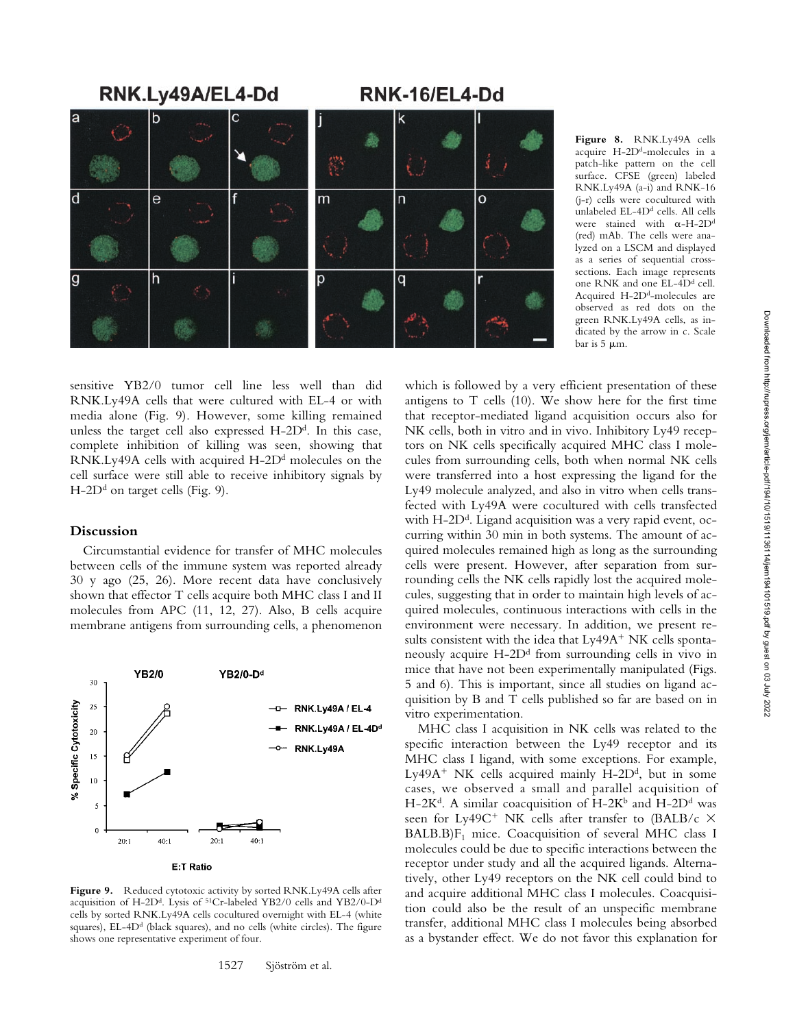

**Figure 8.** RNK.Ly49A cells acquire H-2Dd-molecules in a patch-like pattern on the cell surface. CFSE (green) labeled RNK.Ly49A (a-i) and RNK-16 (j-r) cells were cocultured with unlabeled EL-4D<sup>d</sup> cells. All cells were stained with  $\alpha$ -H-2D<sup>d</sup> (red) mAb. The cells were analyzed on a LSCM and displayed as a series of sequential crosssections. Each image represents one RNK and one EL-4D<sup>d</sup> cell. Acquired H-2Dd-molecules are observed as red dots on the green RNK.Ly49A cells, as indicated by the arrow in c. Scale bar is  $5 \mu m$ .

sensitive YB2/0 tumor cell line less well than did RNK.Ly49A cells that were cultured with EL-4 or with media alone (Fig. 9). However, some killing remained unless the target cell also expressed  $H$ -2 $D<sup>d</sup>$ . In this case, complete inhibition of killing was seen, showing that RNK.Ly49A cells with acquired  $H$ -2D<sup>d</sup> molecules on the cell surface were still able to receive inhibitory signals by  $H$ -2D<sup>d</sup> on target cells (Fig. 9).

## **Discussion**

Circumstantial evidence for transfer of MHC molecules between cells of the immune system was reported already 30 y ago (25, 26). More recent data have conclusively shown that effector T cells acquire both MHC class I and II molecules from APC (11, 12, 27). Also, B cells acquire membrane antigens from surrounding cells, a phenomenon



Figure 9. Reduced cytotoxic activity by sorted RNK.Ly49A cells after acquisition of H-2Dd. Lysis of 51Cr-labeled YB2/0 cells and YB2/0-Dd cells by sorted RNK.Ly49A cells cocultured overnight with EL-4 (white squares), EL-4D<sup>d</sup> (black squares), and no cells (white circles). The figure shows one representative experiment of four.

which is followed by a very efficient presentation of these antigens to T cells (10). We show here for the first time that receptor-mediated ligand acquisition occurs also for NK cells, both in vitro and in vivo. Inhibitory Ly49 receptors on NK cells specifically acquired MHC class I molecules from surrounding cells, both when normal NK cells were transferred into a host expressing the ligand for the Ly49 molecule analyzed, and also in vitro when cells transfected with Ly49A were cocultured with cells transfected with  $H$ -2D<sup>d</sup>. Ligand acquisition was a very rapid event, occurring within 30 min in both systems. The amount of acquired molecules remained high as long as the surrounding cells were present. However, after separation from surrounding cells the NK cells rapidly lost the acquired molecules, suggesting that in order to maintain high levels of acquired molecules, continuous interactions with cells in the environment were necessary. In addition, we present results consistent with the idea that Ly49A<sup>+</sup> NK cells spontaneously acquire  $H$ -2D<sup>d</sup> from surrounding cells in vivo in mice that have not been experimentally manipulated (Figs. 5 and 6). This is important, since all studies on ligand acquisition by B and T cells published so far are based on in vitro experimentation.

MHC class I acquisition in NK cells was related to the specific interaction between the Ly49 receptor and its MHC class I ligand, with some exceptions. For example, Ly49A<sup>+</sup> NK cells acquired mainly H-2D<sup>d</sup>, but in some cases, we observed a small and parallel acquisition of H-2K<sup>d</sup>. A similar coacquisition of H-2K<sup>b</sup> and H-2D<sup>d</sup> was seen for Ly49C<sup>+</sup> NK cells after transfer to (BALB/c  $\times$  $BALB.B)F<sub>1</sub> mice. Coacquisition of several MHC class I$ molecules could be due to specific interactions between the receptor under study and all the acquired ligands. Alternatively, other Ly49 receptors on the NK cell could bind to and acquire additional MHC class I molecules. Coacquisition could also be the result of an unspecific membrane transfer, additional MHC class I molecules being absorbed as a bystander effect. We do not favor this explanation for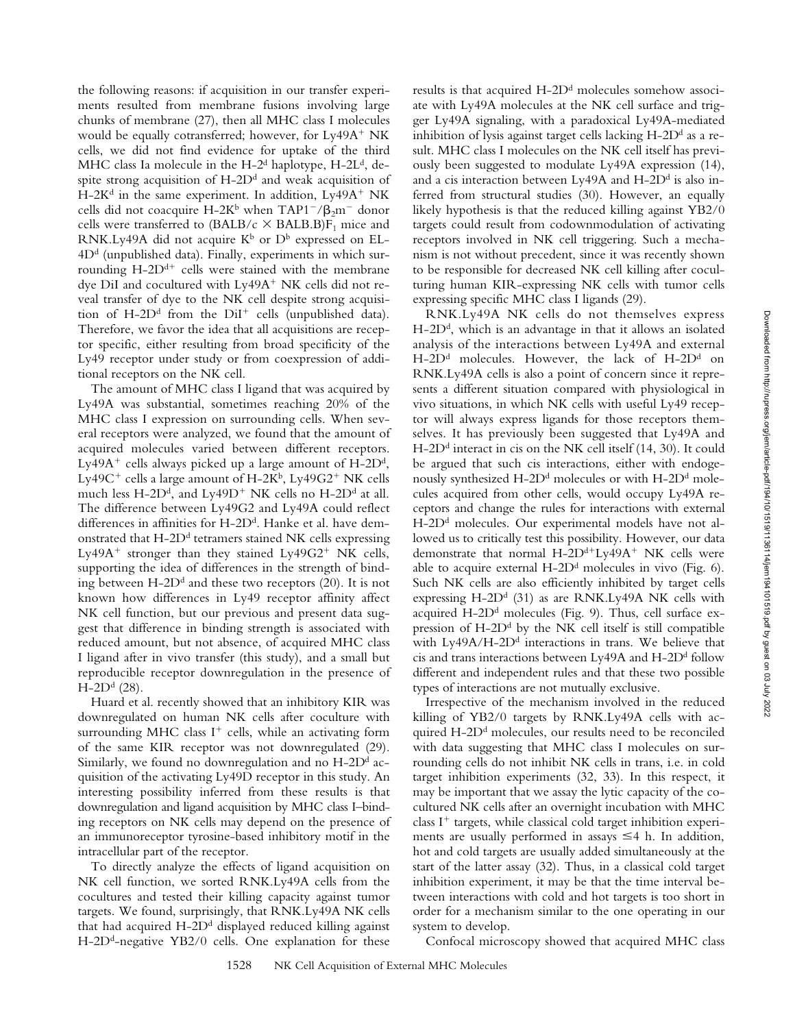the following reasons: if acquisition in our transfer experiments resulted from membrane fusions involving large chunks of membrane (27), then all MHC class I molecules would be equally cotransferred; however, for Ly49A<sup>+</sup> NK cells, we did not find evidence for uptake of the third MHC class Ia molecule in the H-2<sup>d</sup> haplotype, H-2L<sup>d</sup>, despite strong acquisition of  $H$ -2D<sup>d</sup> and weak acquisition of H-2K<sup>d</sup> in the same experiment. In addition, Ly49A<sup>+</sup> NK cells did not coacquire H-2K<sup>b</sup> when TAP1<sup>-</sup>/ $\beta_2$ m<sup>-</sup> donor cells were transferred to  $(BALB/c \times BALB)F_1$  mice and RNK.Ly49A did not acquire  $K^b$  or  $D^b$  expressed on EL- $4D<sup>d</sup>$  (unpublished data). Finally, experiments in which surrounding H-2D<sup>d+</sup> cells were stained with the membrane dye DiI and cocultured with Ly49A<sup>+</sup> NK cells did not reveal transfer of dye to the NK cell despite strong acquisition of H-2D<sup>d</sup> from the DiI<sup>+</sup> cells (unpublished data). Therefore, we favor the idea that all acquisitions are receptor specific, either resulting from broad specificity of the Ly49 receptor under study or from coexpression of additional receptors on the NK cell.

The amount of MHC class I ligand that was acquired by Ly49A was substantial, sometimes reaching 20% of the MHC class I expression on surrounding cells. When several receptors were analyzed, we found that the amount of acquired molecules varied between different receptors. Ly49A<sup>+</sup> cells always picked up a large amount of  $H$ -2D<sup>d</sup>, Ly49C $^+$  cells a large amount of H-2K $^{\rm b}$ , Ly49G2 $^+$  NK cells much less H-2D<sup>d</sup>, and Ly49D<sup>+</sup> NK cells no H-2D<sup>d</sup> at all. The difference between Ly49G2 and Ly49A could reflect differences in affinities for  $H$ -2D<sup>d</sup>. Hanke et al. have demonstrated that  $H$ -2D<sup>d</sup> tetramers stained NK cells expressing Ly49A<sup>+</sup> stronger than they stained Ly49G2<sup>+</sup> NK cells, supporting the idea of differences in the strength of binding between  $H$ -2D<sup>d</sup> and these two receptors (20). It is not known how differences in Ly49 receptor affinity affect NK cell function, but our previous and present data suggest that difference in binding strength is associated with reduced amount, but not absence, of acquired MHC class I ligand after in vivo transfer (this study), and a small but reproducible receptor downregulation in the presence of  $H-2D^{d}$  (28).

Huard et al. recently showed that an inhibitory KIR was downregulated on human NK cells after coculture with surrounding MHC class I<sup>+</sup> cells, while an activating form of the same KIR receptor was not downregulated (29). Similarly, we found no downregulation and no  $H$ -2D<sup>d</sup> acquisition of the activating Ly49D receptor in this study. An interesting possibility inferred from these results is that downregulation and ligand acquisition by MHC class I–binding receptors on NK cells may depend on the presence of an immunoreceptor tyrosine-based inhibitory motif in the intracellular part of the receptor.

To directly analyze the effects of ligand acquisition on NK cell function, we sorted RNK.Ly49A cells from the cocultures and tested their killing capacity against tumor targets. We found, surprisingly, that RNK.Ly49A NK cells that had acquired  $H$ -2D<sup>d</sup> displayed reduced killing against H-2D<sup>d</sup>-negative YB2/0 cells. One explanation for these results is that acquired H-2D<sup>d</sup> molecules somehow associate with Ly49A molecules at the NK cell surface and trigger Ly49A signaling, with a paradoxical Ly49A-mediated inhibition of lysis against target cells lacking  $H$ -2D<sup>d</sup> as a result. MHC class I molecules on the NK cell itself has previously been suggested to modulate Ly49A expression (14), and a cis interaction between Ly49A and  $H$ -2D<sup>d</sup> is also inferred from structural studies (30). However, an equally likely hypothesis is that the reduced killing against YB2/0 targets could result from codownmodulation of activating receptors involved in NK cell triggering. Such a mechanism is not without precedent, since it was recently shown to be responsible for decreased NK cell killing after coculturing human KIR-expressing NK cells with tumor cells expressing specific MHC class I ligands (29).

RNK.Ly49A NK cells do not themselves express  $H$ -2D<sup>d</sup>, which is an advantage in that it allows an isolated analysis of the interactions between Ly49A and external  $H$ -2D<sup>d</sup> molecules. However, the lack of H-2D<sup>d</sup> on RNK.Ly49A cells is also a point of concern since it represents a different situation compared with physiological in vivo situations, in which NK cells with useful Ly49 receptor will always express ligands for those receptors themselves. It has previously been suggested that Ly49A and  $H$ -2D<sup>d</sup> interact in cis on the NK cell itself (14, 30). It could be argued that such cis interactions, either with endogenously synthesized  $H$ -2D<sup>d</sup> molecules or with  $H$ -2D<sup>d</sup> molecules acquired from other cells, would occupy Ly49A receptors and change the rules for interactions with external  $H$ -2D<sup>d</sup> molecules. Our experimental models have not allowed us to critically test this possibility. However, our data demonstrate that normal H-2D<sup>d+</sup>Ly49A<sup>+</sup> NK cells were able to acquire external  $H$ -2D<sup>d</sup> molecules in vivo (Fig. 6). Such NK cells are also efficiently inhibited by target cells expressing  $H$ -2D<sup>d</sup> (31) as are RNK.Ly49A NK cells with acquired H-2 $D<sup>d</sup>$  molecules (Fig. 9). Thus, cell surface expression of H-2D<sup>d</sup> by the NK cell itself is still compatible with Ly49A/H-2D<sup>d</sup> interactions in trans. We believe that cis and trans interactions between Ly49A and  $H$ -2D<sup>d</sup> follow different and independent rules and that these two possible types of interactions are not mutually exclusive.

Irrespective of the mechanism involved in the reduced killing of YB2/0 targets by RNK.Ly49A cells with acquired  $H$ -2D<sup>d</sup> molecules, our results need to be reconciled with data suggesting that MHC class I molecules on surrounding cells do not inhibit NK cells in trans, i.e. in cold target inhibition experiments (32, 33). In this respect, it may be important that we assay the lytic capacity of the cocultured NK cells after an overnight incubation with MHC class I<sup>+</sup> targets, while classical cold target inhibition experiments are usually performed in assays  $\leq 4$  h. In addition, hot and cold targets are usually added simultaneously at the start of the latter assay (32). Thus, in a classical cold target inhibition experiment, it may be that the time interval between interactions with cold and hot targets is too short in order for a mechanism similar to the one operating in our system to develop.

Confocal microscopy showed that acquired MHC class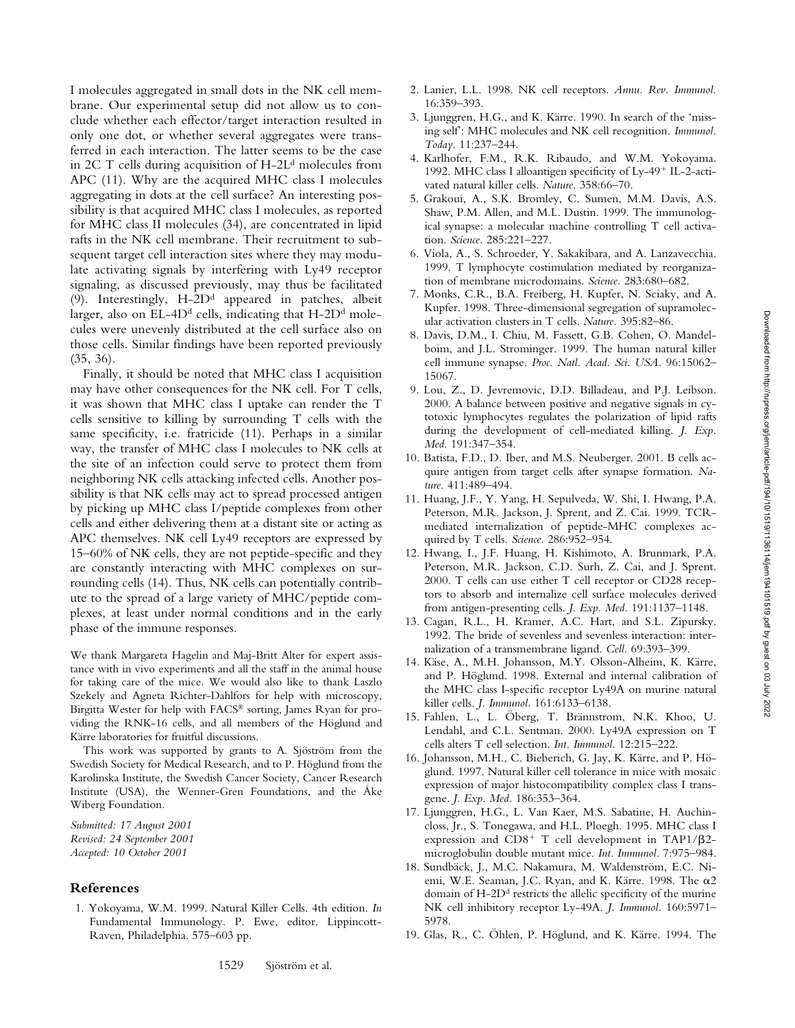I molecules aggregated in small dots in the NK cell membrane. Our experimental setup did not allow us to conclude whether each effector/target interaction resulted in only one dot, or whether several aggregates were transferred in each interaction. The latter seems to be the case in 2C T cells during acquisition of  $H-2L<sup>d</sup>$  molecules from APC (11). Why are the acquired MHC class I molecules aggregating in dots at the cell surface? An interesting possibility is that acquired MHC class I molecules, as reported for MHC class II molecules (34), are concentrated in lipid rafts in the NK cell membrane. Their recruitment to subsequent target cell interaction sites where they may modulate activating signals by interfering with Ly49 receptor signaling, as discussed previously, may thus be facilitated (9). Interestingly,  $H$ -2 $D<sup>d</sup>$  appeared in patches, albeit larger, also on EL-4D<sup>d</sup> cells, indicating that H-2D<sup>d</sup> molecules were unevenly distributed at the cell surface also on those cells. Similar findings have been reported previously (35, 36).

Finally, it should be noted that MHC class I acquisition may have other consequences for the NK cell. For T cells, it was shown that MHC class I uptake can render the T cells sensitive to killing by surrounding T cells with the same specificity, i.e. fratricide (11). Perhaps in a similar way, the transfer of MHC class I molecules to NK cells at the site of an infection could serve to protect them from neighboring NK cells attacking infected cells. Another possibility is that NK cells may act to spread processed antigen by picking up MHC class I/peptide complexes from other cells and either delivering them at a distant site or acting as APC themselves. NK cell Ly49 receptors are expressed by 15–60% of NK cells, they are not peptide-specific and they are constantly interacting with MHC complexes on surrounding cells (14). Thus, NK cells can potentially contribute to the spread of a large variety of MHC/peptide complexes, at least under normal conditions and in the early phase of the immune responses.

We thank Margareta Hagelin and Maj-Britt Alter for expert assistance with in vivo experiments and all the staff in the animal house for taking care of the mice. We would also like to thank Laszlo Szekely and Agneta Richter-Dahlfors for help with microscopy, Birgitta Wester for help with FACS® sorting, James Ryan for providing the RNK-16 cells, and all members of the Höglund and Kärre laboratories for fruitful discussions.

This work was supported by grants to A. Sjöström from the Swedish Society for Medical Research, and to P. Höglund from the Karolinska Institute, the Swedish Cancer Society, Cancer Research Institute (USA), the Wenner-Gren Foundations, and the Åke Wiberg Foundation.

*Submitted: 17 August 2001 Revised: 24 September 2001 Accepted: 10 October 2001*

## **References**

1. Yokoyama, W.M. 1999. Natural Killer Cells. 4th edition. *In* Fundamental Immunology. P. Ewe, editor. Lippincott-Raven, Philadelphia. 575–603 pp.

- 2. Lanier, L.L. 1998. NK cell receptors. *Annu. Rev. Immunol.* 16:359–393.
- 3. Ljunggren, H.G., and K. Kärre. 1990. In search of the 'missing self': MHC molecules and NK cell recognition. *Immunol. Today.* 11:237–244.
- 4. Karlhofer, F.M., R.K. Ribaudo, and W.M. Yokoyama. 1992. MHC class I alloantigen specificity of Ly-49<sup>+</sup> IL-2-activated natural killer cells. *Nature.* 358:66–70.
- 5. Grakoui, A., S.K. Bromley, C. Sumen, M.M. Davis, A.S. Shaw, P.M. Allen, and M.L. Dustin. 1999. The immunological synapse: a molecular machine controlling T cell activation. *Science.* 285:221–227.
- 6. Viola, A., S. Schroeder, Y. Sakakibara, and A. Lanzavecchia. 1999. T lymphocyte costimulation mediated by reorganization of membrane microdomains. *Science.* 283:680–682.
- 7. Monks, C.R., B.A. Freiberg, H. Kupfer, N. Sciaky, and A. Kupfer. 1998. Three-dimensional segregation of supramolecular activation clusters in T cells. *Nature.* 395:82–86.
- 8. Davis, D.M., I. Chiu, M. Fassett, G.B. Cohen, O. Mandelboim, and J.L. Strominger. 1999. The human natural killer cell immune synapse. *Proc. Natl. Acad. Sci. USA.* 96:15062– 15067.
- 9. Lou, Z., D. Jevremovic, D.D. Billadeau, and P.J. Leibson. 2000. A balance between positive and negative signals in cytotoxic lymphocytes regulates the polarization of lipid rafts during the development of cell-mediated killing. *J. Exp. Med.* 191:347–354.
- 10. Batista, F.D., D. Iber, and M.S. Neuberger. 2001. B cells acquire antigen from target cells after synapse formation. *Nature.* 411:489–494.
- 11. Huang, J.F., Y. Yang, H. Sepulveda, W. Shi, I. Hwang, P.A. Peterson, M.R. Jackson, J. Sprent, and Z. Cai. 1999. TCRmediated internalization of peptide-MHC complexes acquired by T cells. *Science.* 286:952–954.
- 12. Hwang, I., J.F. Huang, H. Kishimoto, A. Brunmark, P.A. Peterson, M.R. Jackson, C.D. Surh, Z. Cai, and J. Sprent. 2000. T cells can use either T cell receptor or CD28 receptors to absorb and internalize cell surface molecules derived from antigen-presenting cells. *J. Exp. Med.* 191:1137–1148.
- 13. Cagan, R.L., H. Kramer, A.C. Hart, and S.L. Zipursky. 1992. The bride of sevenless and sevenless interaction: internalization of a transmembrane ligand. *Cell.* 69:393–399.
- 14. Käse, A., M.H. Johansson, M.Y. Olsson-Alheim, K. Kärre, and P. Höglund. 1998. External and internal calibration of the MHC class I-specific receptor Ly49A on murine natural killer cells. *J. Immunol.* 161:6133–6138.
- 15. Fahlen, L., L. Öberg, T. Brännstrom, N.K. Khoo, U. Lendahl, and C.L. Sentman. 2000. Ly49A expression on T cells alters T cell selection. *Int. Immunol.* 12:215–222.
- 16. Johansson, M.H., C. Bieberich, G. Jay, K. Kärre, and P. Höglund. 1997. Natural killer cell tolerance in mice with mosaic expression of major histocompatibility complex class I transgene. *J. Exp. Med.* 186:353–364.
- 17. Ljunggren, H.G., L. Van Kaer, M.S. Sabatine, H. Auchincloss, Jr., S. Tonegawa, and H.L. Ploegh. 1995. MHC class I expression and  $CD8^+$  T cell development in TAP1/ $\beta$ 2microglobulin double mutant mice. *Int. Immunol.* 7:975–984.
- 18. Sundbäck, J., M.C. Nakamura, M. Waldenström, E.C. Niemi, W.E. Seaman, J.C. Ryan, and K. Kärre. 1998. The  $\alpha$ 2 domain of  $H$ -2D<sup>d</sup> restricts the allelic specificity of the murine NK cell inhibitory receptor Ly-49A. *J. Immunol.* 160:5971– 5978.
- 19. Glas, R., C. Öhlen, P. Höglund, and K. Kärre. 1994. The